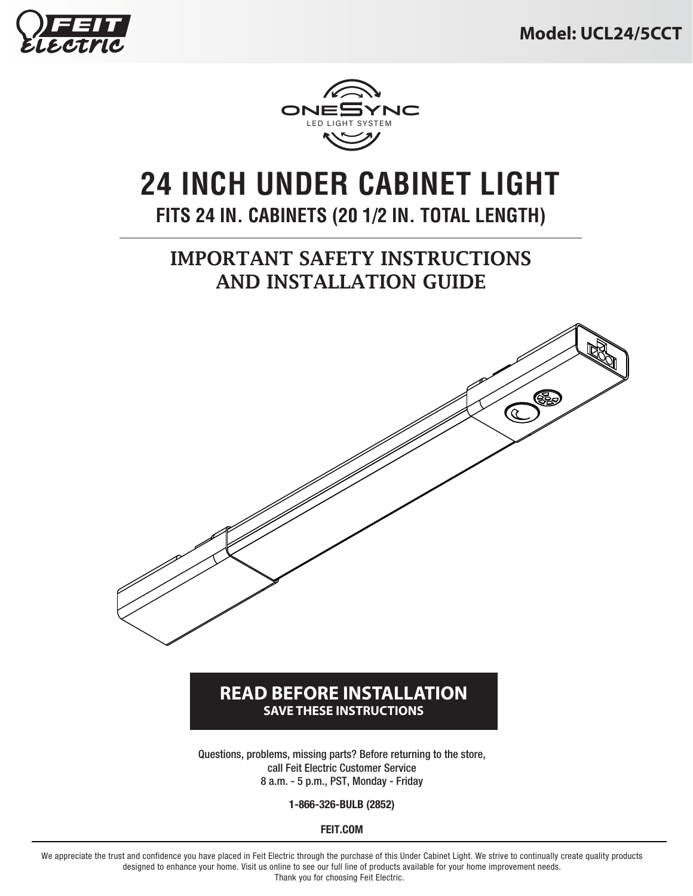



# **24 INCH UNDER CABINET LIGHT FITS 24 IN. CABINETS (20 1/2 IN. TOTAL LENGTH)**

### IMPORTANT SAFETY INSTRUCTIONS AND INSTALLATION GUIDE



#### **READ BEFORE INSTALLATION SAVE THESE INSTRUCTIONS**

Questions, problems, missing parts? Before returning to the store, call Feit Electric Customer Service 8 a.m. - 5 p.m., PST, Monday - Friday

**1-866-326-BULB (2852)**

**FEIT.COM**

We appreciate the trust and confidence you have placed in Feit Electric through the purchase of this Under Cabinet Light. We strive to continually create quality products designed to enhance your home. Visit us online to see our full line of products available for your home improvement needs. Thank you for choosing Feit Electric.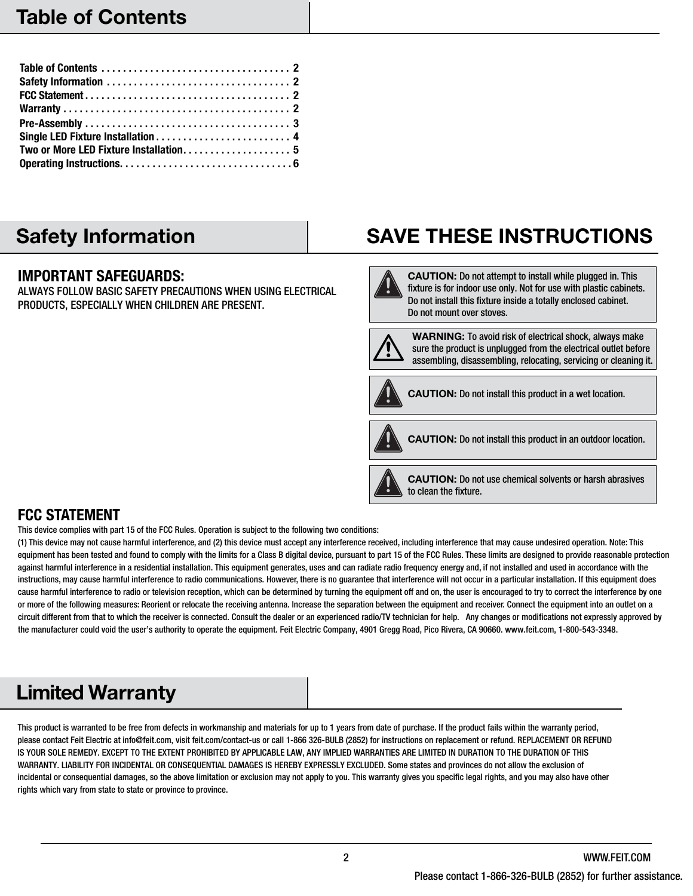### Safety Information

#### **IMPORTANT SAFEGUARDS:**

ALWAYS FOLLOW BASIC SAFETY PRECAUTIONS WHEN USING ELECTRICAL PRODUCTS, ESPECIALLY WHEN CHILDREN ARE PRESENT.

## SAVE THESE INSTRUCTIONS

CAUTION: Do not attempt to install while plugged in. This fixture is for indoor use only. Not for use with plastic cabinets. Do not install this fixture inside a totally enclosed cabinet. Do not mount over stoves.



WARNING: To avoid risk of electrical shock, always make sure the product is unplugged from the electrical outlet before assembling, disassembling, relocating, servicing or cleaning it.



CAUTION: Do not install this product in a wet location.



CAUTION: Do not use chemical solvents or harsh abrasives to clean the fixture.

#### **FCC STATEMENT**

This device complies with part 15 of the FCC Rules. Operation is subject to the following two conditions:

(1) This device may not cause harmful interference, and (2) this device must accept any interference received, including interference that may cause undesired operation. Note: This equipment has been tested and found to comply with the limits for a Class B digital device, pursuant to part 15 of the FCC Rules. These limits are designed to provide reasonable protection against harmful interference in a residential installation. This equipment generates, uses and can radiate radio frequency energy and, if not installed and used in accordance with the instructions, may cause harmful interference to radio communications. However, there is no guarantee that interference will not occur in a particular installation. If this equipment does cause harmful interference to radio or television reception, which can be determined by turning the equipment off and on, the user is encouraged to try to correct the interference by one or more of the following measures: Reorient or relocate the receiving antenna. Increase the separation between the equipment and receiver. Connect the equipment into an outlet on a circuit different from that to which the receiver is connected. Consult the dealer or an experienced radio/TV technician for help. Any changes or modifications not expressly approved by the manufacturer could void the user's authority to operate the equipment. Feit Electric Company, 4901 Gregg Road, Pico Rivera, CA 90660. www.feit.com, 1-800-543-3348.

### Limited Warranty

This product is warranted to be free from defects in workmanship and materials for up to 1 years from date of purchase. If the product fails within the warranty period, please contact Feit Electric at info@feit.com, visit feit.com/contact-us or call 1-866 326-BULB (2852) for instructions on replacement or refund. REPLACEMENT OR REFUND IS YOUR SOLE REMEDY. EXCEPT TO THE EXTENT PROHIBITED BY APPLICABLE LAW, ANY IMPLIED WARRANTIES ARE LIMITED IN DURATION TO THE DURATION OF THIS WARRANTY. LIABILITY FOR INCIDENTAL OR CONSEQUENTIAL DAMAGES IS HEREBY EXPRESSLY EXCLUDED. Some states and provinces do not allow the exclusion of incidental or consequential damages, so the above limitation or exclusion may not apply to you. This warranty gives you specific legal rights, and you may also have other rights which vary from state to state or province to province.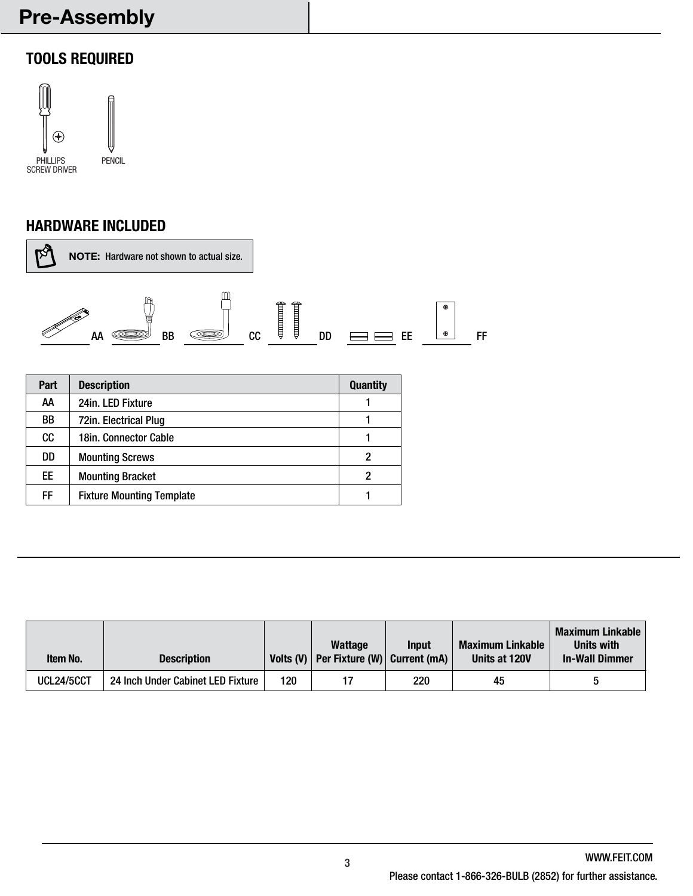## Pre-Assembly

### **TOOLS REQUIRED**



#### **HARDWARE INCLUDED**



| Part | <b>Description</b>               | <b>Quantity</b> |
|------|----------------------------------|-----------------|
| AA   | 24in. LED Fixture                |                 |
| BB   | 72in. Electrical Plug            |                 |
| cc   | 18in. Connector Cable            |                 |
| DD   | <b>Mounting Screws</b>           | 2               |
| EE   | <b>Mounting Bracket</b>          | 2               |
| FF   | <b>Fixture Mounting Template</b> |                 |

| <b>Item No.</b>   | <b>Description</b>                |     | <b>Wattage</b><br>Volts (V)   Per Fixture (W) $ $ Current (mA) | <b>Input</b> | <b>Maximum Linkable</b><br>Units at 120V | <b>Maximum Linkable</b><br>Units with<br><b>In-Wall Dimmer</b> |
|-------------------|-----------------------------------|-----|----------------------------------------------------------------|--------------|------------------------------------------|----------------------------------------------------------------|
| <b>UCL24/5CCT</b> | 24 Inch Under Cabinet LED Fixture | 120 |                                                                | 220          | 45                                       |                                                                |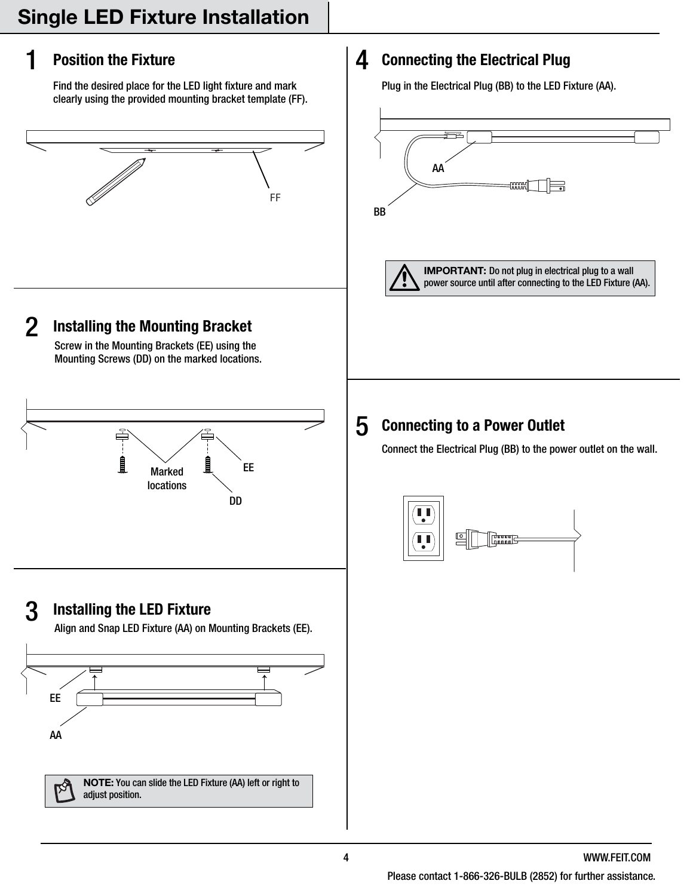### **Position the Fixture**

1

Find the desired place for the LED light fixture and mark clearly using the provided mounting bracket template (FF).



#### 3 **Installing the LED Fixture**

Align and Snap LED Fixture (AA) on Mounting Brackets (EE).



# 4 **Connecting the Electrical Plug**

Plug in the Electrical Plug (BB) to the LED Fixture (AA).

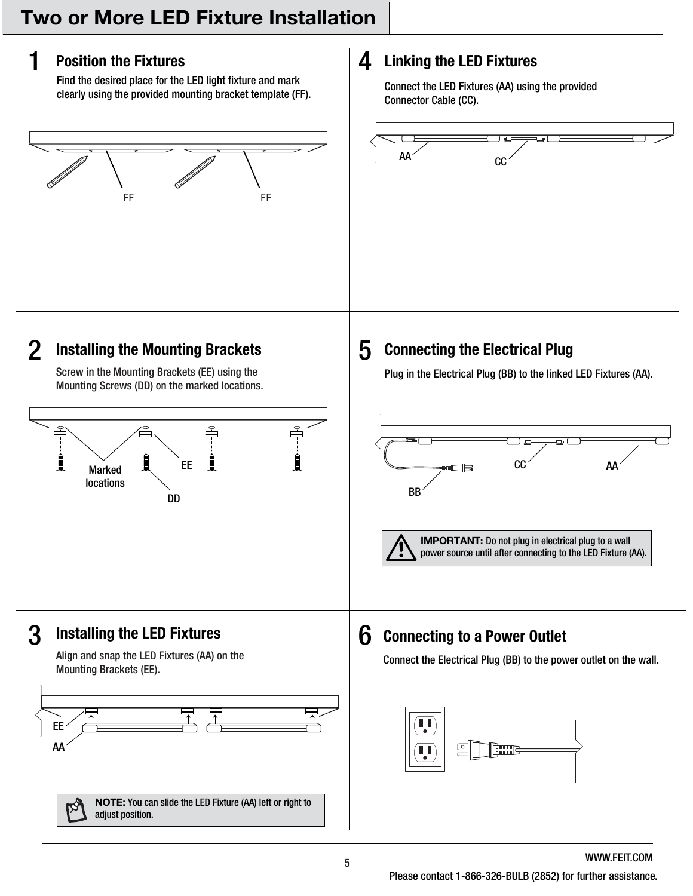### **Position the Fixtures**

Marked locations

EE AA

adjust position.

1

2

Find the desired place for the LED light fixture and mark clearly using the provided mounting bracket template (FF).



#### 4 **Linking the LED Fixtures**

Connect the LED Fixtures (AA) using the provided Connector Cable (CC).